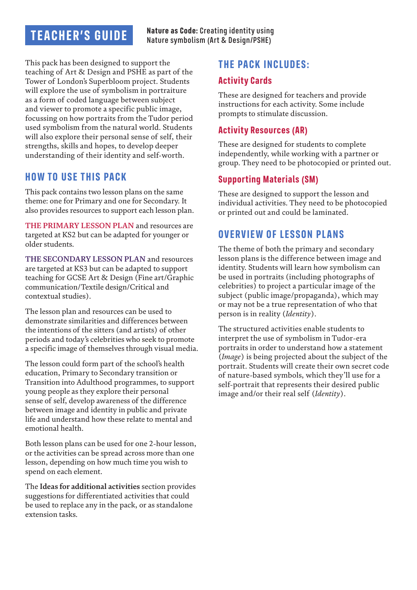# **TEACHER'S GUIDE**

This pack has been designed to support the teaching of Art & Design and PSHE as part of the Tower of London's Superbloom project. Students will explore the use of symbolism in portraiture as a form of coded language between subject and viewer to promote a specific public image, focussing on how portraits from the Tudor period used symbolism from the natural world. Students will also explore their personal sense of self, their strengths, skills and hopes, to develop deeper understanding of their identity and self-worth.

### **HOW TO USE THIS PACK**

This pack contains two lesson plans on the same theme: one for Primary and one for Secondary. It also provides resources to support each lesson plan.

**THE PRIMARY LESSON PLAN** and resources are targeted at KS2 but can be adapted for younger or older students.

**THE SECONDARY LESSON PLAN** and resources are targeted at KS3 but can be adapted to support teaching for GCSE Art & Design (Fine art/Graphic communication/Textile design/Critical and contextual studies).

The lesson plan and resources can be used to demonstrate similarities and differences between the intentions of the sitters (and artists) of other periods and today's celebrities who seek to promote a specific image of themselves through visual media.

The lesson could form part of the school's health education, Primary to Secondary transition or Transition into Adulthood programmes, to support young people as they explore their personal sense of self, develop awareness of the difference between image and identity in public and private life and understand how these relate to mental and emotional health.

Both lesson plans can be used for one 2-hour lesson, or the activities can be spread across more than one lesson, depending on how much time you wish to spend on each element.

The **Ideas for additional activities** section provides suggestions for differentiated activities that could be used to replace any in the pack, or as standalone extension tasks.

## **THE PACK INCLUDES:**

#### **Activity Cards**

These are designed for teachers and provide instructions for each activity. Some include prompts to stimulate discussion.

#### **Activity Resources (AR)**

These are designed for students to complete independently, while working with a partner or group. They need to be photocopied or printed out.

#### **Supporting Materials (SM)**

These are designed to support the lesson and individual activities. They need to be photocopied or printed out and could be laminated.

### **OVERVIEW OF LESSON PLANS**

The theme of both the primary and secondary lesson plans is the difference between image and identity. Students will learn how symbolism can be used in portraits (including photographs of celebrities) to project a particular image of the subject (public image/propaganda), which may or may not be a true representation of who that person is in reality (*Identity*).

The structured activities enable students to interpret the use of symbolism in Tudor-era portraits in order to understand how a statement (*Image*) is being projected about the subject of the portrait. Students will create their own secret code of nature-based symbols, which they'll use for a self-portrait that represents their desired public image and/or their real self (*Identity*).